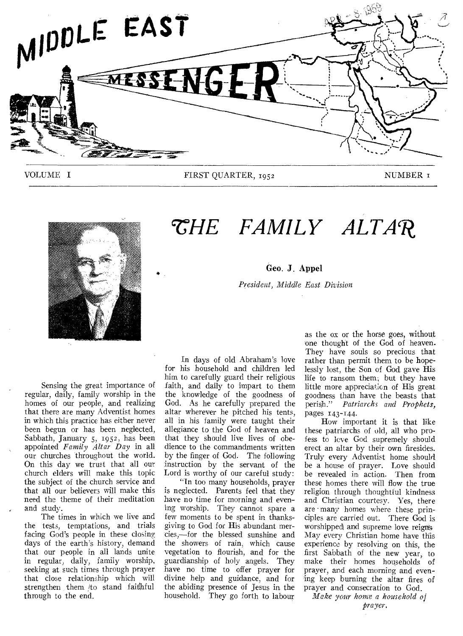

VOLUME I FIRST QUARTER, 1952 NUMBER 1



# *`SHE FAMILY ALTAR*

Geo. *J.* Appel

*President, Middle East Division* 

Sensing the great importance of regular, daily, family worship in the homes of our people, and realizing that there are many Adventist homes in which this practice has either never been begun or has been neglected, Sabbath, January 5, 1952, has been appointed *Family Altar Day* in all our churches throughout the world. On this day we trust that all our church elders will make this topic the subject of the church service and that all our believers will make this need the theme of their meditation and study.

The times in which we live and the tests, temptations, and trials facing God's people in these closing days of the earth's history, demand that our people in all lands unite in regular, daily, family worship, seeking at such times through prayer that close relationship which will strengthen them /to stand faithful through to the end.

In days of old Abraham's love for his household and children led him to carefully guard their religious faith, and daily to impart to them the knowledge of the goodness of God. As he carefully prepared the altar wherever he pitched his tents, all in his family were taught their allegiance to the God of heaven and that they should live lives of obedience to the commandments written by the finger of God. The following instruction by the servant of the Lord is worthy of our careful study:

"In too many households, prayer is neglected. Parents feel that they have no time for morning and evening worship. They cannot spare a few moments to be spent in thanksgiving to God for His abundant mercies,—for the blessed sunshine and the showers of rain, which cause vegetation to flourish, and for the guardianship of holy angels. They have no time to offer prayer for divine help and guidance, and for the abiding presence of Jesus in, the household. They go forth to labour

as the ox or the horse goes, without one thought of the God of heaven. They have souls so precious that rather than permit them to be hopelessly lost, the Son of God gave His life to ransom them; but they have little more appreciation of His great goodness than have the beasts that<br>perish." Patriarchs and Prophets. perish." *Patriarchs and Prophets,*  pages 143-144.

How important it is that like these patriarchs of old, all who profess to love God supremely should erect an altar by their own firesides. Truly every Adventist home should be a house of prayer. Love should be revealed in action. Then from these homes there will flow the true religion through thoughtful kindness and Christian courtesy. Yes, there are many homes where these principles are carried out. There God is worshipped and supreme love reigns May every Christian home have this experience by resolving on this, the first Sabbath of the new year, to make their homes households of prayer, and each morning and evening keep burning the altar fires of prayer and consecration to God.

*Make your home a household of prayer.*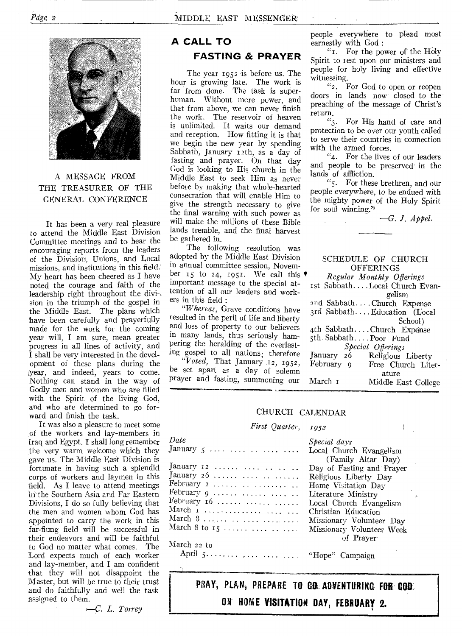

#### A MESSAGE FROM THE TREASURER OF THE GENERAL CONFERENCE

It has been a very real pleasure to attend the Middle East Division Committee meetings and to hear the encouraging reports from the leaders of the Division, Unions, and Local missions, and institutions in this field: My heart has been cheered as I have noted the courage and faith of the leadership right throughout the divi-. sion in the triumph of the gospel in the Middle East. The plans which have been carefully and prayerfully made for the work for the coming year will, I am sure, mean greater progress in all lines of activity, and I shall be very interested in the development of these plans during the year, and indeed, years to come. Nothing can stand in the way of Godly men and women who are filled with the Spirit of the living God, and who are determined to go forward and finish the task.

It was also a pleasure to meet some of the workers and lay-members in fraq and Egypt. I shall long remember the very warm welcome which they gave us. The Middle East Division is fortunate in having such a splendid corps of workers and laymen in this field. As I leave to attend meetings in the Southern Asia and Far Eastern Divisions, I do so fully believing that the men and women whom God has appointed to carry the work in this far-fiung field will be successful in their endeavors and will be faithful to God no matter what comes. The Lord expects much of each worker and lay-member, and I am confident that they will not disappoint the Master, but will be true to their trust and do faithfully and well the task assigned to them.

*L. Torrey* 

#### **A CALL TO FASTING & PRAYER**

The year 1952 is before us. The hour is growing late. The work is far from done. The task is superhuman. Without more power, and that from above, we can never finish the work. The reset voir of heaven is unlimited. It waits our demand and reception. How fitting it is that we begin the new year by spending Sabbath, January 12th, as a day of fasting and prayer. On that day God is looking to His church in the Middle East to seek Him as never before by making that whole-hearted consecration that will enable Him to give the strength necessary to give the final warning with such power as will make the millions of these Bible lands tremble, and the final harvest be gathered in.

The following resolution was adopted by the Middle East Division in annual committee session, November 15 to 24, 1951. We call this important message to the special attention of all our leaders and workers in this field :

*"Whereas,* Grave conditions have resulted in the peril of life and liberty and loss of property to our believers in many lands, thus seriously hampering the heralding of the everlasting gospel to all nations; therefore

*"Voted,* That January 12, 1952, be set apart as a day of solemn prayer and fasting, summoning our

people everywhere to plead most earnestly with God :

"1. For the power of the Holy Spirit to test upon our ministers and people for holy living and effective witnessing.

"2. For God to open or reopen doors in lands now closed to the preaching of the message of Christ's return.

"3. For His hand of care and protection to be over our youth called to serve their countries in connection with the armed forces.

"4. For the lives of our leaders and people to be preserved in the lands of affliction.

"5. For these brethren, and our people everywhere, to be endued with the mighty power of the Holy Spirit for soul winning."

*—G. J. Appel.* 

 $\overline{\mathbf{1}}$ 

|                      | SCHEDULE OF CHURCH<br><b>OFFERINGS</b> |
|----------------------|----------------------------------------|
|                      |                                        |
|                      | Regular Monthly Offerings              |
|                      | 1st Sabbath Local Church Evan-         |
|                      | gelism                                 |
|                      | 2nd SabbathChurch Expense              |
|                      | 3rd SabbathEducation (Local            |
|                      | School)                                |
|                      | 4th SabbathChurch Expense              |
| 5th SabbathPoor Fund |                                        |
| Special Offerings    |                                        |
| January 26           | Religious Liberty                      |
| February 9           | Free Church Liter-                     |
|                      | ature                                  |
| March т              | Middle East College                    |

#### CHURCH CALENDAR

*First Quarter, 1952* 

| Date                                                | Special days                      |
|-----------------------------------------------------|-----------------------------------|
| January $5 \ldots \ldots \ldots \ldots \ldots$      | Local Church Evangelism           |
|                                                     | (Family Altar Day)                |
| January 12                                          | Day of Fasting and Prayer         |
| January 26                                          | Religious Liberty Day             |
|                                                     | Home Visitation Day               |
| February $9 \ldots \ldots \ldots \ldots \ldots$     | Literature Ministry<br>$\sim$ 1.4 |
| February $16$                                       | Local Church Evangelism           |
|                                                     | Christian Education               |
| March $8 \ldots \ldots \ldots \ldots \ldots \ldots$ | Missionary Volunteer Day          |
| March 8 to $15$                                     | Missionary Volunteer Week         |
|                                                     | of Prayer                         |
| March 22 to                                         |                                   |
|                                                     |                                   |

PRAY, PLAN, PREPARE TO CO. ADVENTURING FOR COD. **ON HOME VISITATION DAY, FEBRUARY 2.**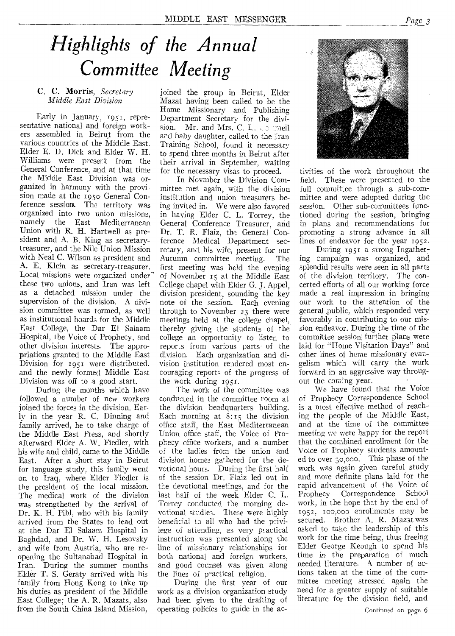## *Highlights of the Annual Committee Meeting*

#### C. C. Morris, *Secretary Middle East Division*

Early in January, 1951, representative national and foreign workers assembled in Beirut from the various countries of the Middle East. Elder E. D. Dick and Elder W. H. Williams were present from the General Conference, and at that time the Middle East Division was organized in harmony with the provision made at the 1950 General Conference session. The territory was organized into two union missions, namely the East Mediterranean Union with R. H. Hartwell as president and A. B. King as secretarytreasurer, and the Nile Union Mission with Neal C. Wilson as president and A. E. Klein as secretary-treasurer. Local missions were organized under" these two unions, and Iran was left as a detached mission under the supervision of the division. A division committee was tormed, as well as institutional boards for the Middle East College, the Dar El Salaam Hospital, the Voice of Prophecy, and other division interests. The appropriations granted to the Middle East Division for 1951 were distributed. and the newly formed Middle East Division was off to a good start.

During the months which have followed a number of new workers joined the forces in the division. Early in the year R. C. Dinning and family arrived, he to take charge of the Middle East Press, and shortly afterward Elder A. W. Fiedler, with his wife and child, came to the Middle East. After a short stay in Beirut for language study, this family went on to Iraq, where Elder Fiedler is the president of the local mission. The medical work of the division was strengthened by the arrival of Dr. K. H. Pihl, who with his family arrived from the States to lead out at the Dar El Salaam Hospital in Baghdad, and Dr. W. H. Lesovsky and wife from Austria, who are reopening the Sultanabad Hospital in Iran. During the summer months Elder T. S. Geraty arrived with his family from Hong Kong to take up his duties as president of the Middle East College; the A. R. Mazats, also from the South China Island Mission,

joined the group in Beirut, Elder Mazat having been called to be the Home Missionary and Publishing Department Secretary for the division. Mr. and Mrs. C. L. Commell and baby daughter, called to the Iran Training School, found it necessary to spend three months in Beirut after their arrival in September, waiting for the necessary visas to proceed.

In Novmber the Division Committee met again, with the division institution and union treasurers being invited in. We were also favored in having Elder C. L. Torrey, the General Conference Treasurer, and Dr. T. R. Flaiz, the General Conference Medical Department secretary, and his wife, present for our Autumn committee meeting. The first meeting was held the evening of November 15 at the Middle East College chapel with Elder G. J. Appel, division president, sounding the key note of the session. Each evening through to November 23 there were meetings held at the college chapel, thereby giving the students of the college an opportunity to listen to reports from various parts- of the division. Each organization and division institution rendered most encouraging reports of the progress of the work during 1951.

The work of the committee was conducted in the committee room at the division headquarters building. Each morning at  $8:15$  the division office staff, the East Mediterranean Union office staff, the Voice of Prophecy office workers, and a number of the ladies from the union and division homes gathered for the devotional hours. During the first half of the session Dr. Flaiz led out in the devotional meetings, and for the last half of the week Eider C. L. Torrey conducted the morning devotional studies. These were highly beneficial to all who had the privilege of attending, as very practical instruction was presented along the line of missionary relationships for both national and foreign workers, and good counsel was given along the lines of practical religion.

During the first year of our work as a division organization study had been given to the drafting of operating policies to guide in the ac-



tivities of the work throughout the field. These were presented to the full committee through a sub-committee and were adopted during the session. Other sub-committees functioned during the session, bringing in plans and recommendations for promoting a strong advance in all lines of endeavor for the year 1952.

During 1951 a strong Ingather: ing campaign was organized, and splendid results were seen in all parts of the division territory. The concerted efforts of all our working force made a real impression in bringing our work to the attention of the general public, which responded very favorably in contributing to our mission endeavor. During the time of the committee session, further plans were laid for "Home Visitation Days" and other lines of home missionary evangelism which will carry the work forward in an aggressive way througout the coming year.

We have found that the Voice of Prophecy Correspondence School is a most effective method of reaching the people of the Middle East, and at the time of the committee meeting *we* were happy for the report that the combined enrollment for the Voice of Prophecy students amounted to over 30,000. This phase of the work was again given careful study and more definite plans laid for the rapid advancement of the Voice of<br>Prophecy Correspondence School Correspondence School work, in the hope that by the end of 1952, 100,003 enrollments may be secured. Brother A. R. Mazat was asked to take the leadership of this work for the time being, thus freeing Elder George Keough to spend his time in the preparation of much needed literature. A number of actions taken at the time of the committee meeting stressed again the need for a greater supply of suitable literature for the division field, and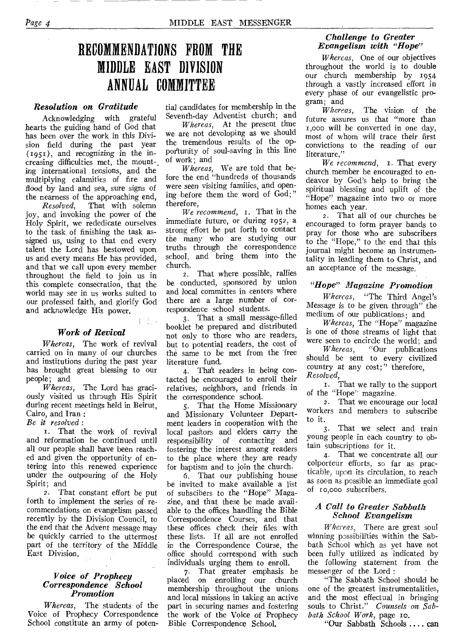### **RECOMMENDATIONS FROM THE MIDDLE EAST DIVISION ANNUAL COMMITTEE**

#### *Resolution on Gratitude*

Acknowledging with grateful hearts the guiding hand of God that has been over the work in this Division field during the past year (195r), and recognizing in the increasing difficulties met, the mount-, ing international tensions, and the multiplying calamities of fire and flood by land and sea, sure signs of the nearness of the approaching end,

*Resolved,* That with solemn joy, and invoking the power of the Holy Spirit, we rededicate ourselves to the task of finishing the task assigned us, using to that end every talent the Lord has bestowed upon us and every means He has provided, and that we call upon every member throughout the field to join us in this complete consecration, that the world may see in us works suited to our professed faith, and glorify God and acknowledge His power.

#### *Work of Revival*

不上。

*Whereas,* The work of revival carried on in many of our churches and institutions during the past year has brought great blessing to our people; and

*Whereas,* The Lord has graciously visited us through His Spirit during recent meetings held in Beirut, Cairo, and Iran :

*Be it resolved :* 

I. That the work of revival and reformation be continued until all our people shall have been reached and *given* the opportunity of entering into this renewed experience under the outpouring of the Holy Spirit; and

*2.* That constant effort be put forth to implement the series of recommendations on evangelism passed recently by the Division Council, to the end that the Advent message may be quickly carried to the uttermost part of the territory of the Middle East Division.

#### *Voice of Prophecy Correspondence School Promotion*

*Whereas,* The students of the Voice of Prophecy Correspondence School constitute an army of poten-

tial candidates for membership in the Seventh-day Adventist church; and

*Whereas,* At the present time we are not devoloping as we should the tremendous results of the opportunity of soul-saving in this line of work; and

*Whereas,* We are told that before the end "hundreds of thousands were *seen* visiting families, and opening before them the word of God;" therefore,

*We recommend,* 1. That in the immediate future, or during r952, a strong effort be put forth to contact the many who are studying our truths through the correspondence school, and bring them into the church.

2. That where possible, rallies be conducted, sponsored by union and local committes in centers where there are a large number of correspondence school students.

3. That a small message-filled booklet be prepared and distributed not only to those who are readers, but to potential readers, the cost of the same to be met from the free literature fund.

4. That readers in being contacted be encouraged to enroll their relatives, neighbors, and friends in the correspondence school.

5. That the Home Missionary and Missionary Volunteer Department leaders in cooperation with the local pastors and elders carry the responsibility of contacting and fostering the interest among readers to the place where they are ready for baptism and to join the church.

6. That our publishing house be invited to make available a list of subscibers to the "Hope" Magazine, and that these be made available to the offices handling the Bible Correspondence Courses, and that these offices check their files with these lists. If all are not enrolled in the Correspondence Course, the office should correspond with such individuals urging them to enroll.

7. That greater emphasis be placed on enrolling our church membership throughout the unions and local missions in taking an active part in securing names and fostering the work of the Voice of Prophecy Bible Correspondence School.

#### *Challenge to Greater Evangelism with "Hope"*

*Whereas,* One of our objectives throughout the world is to double our church membership by 1954 through a vastly increased effort in every phase of our evangelistic program; and

*Whereas,* The vision of the future assures us that "more than r,000 will be converted in one day, most of whom will trace their first convictions to the reading of our literature,"

*We recommend,* 1. That every church member be encouraged to endeavor by God's help to bring the spiritual blessing and uplift of the "Hope" magazine into two or more homes each year.

2. That all of our churches be encouraged to form prayer bands to pray for those who are subscribers to the "Hope," to the end that this journal might become an instrumentality in leading them to Christ, and an acceptance of the message.

#### *"Hope" Magazine Promotion*

*Whereas,* "The Third Angel's Message is to be given through" the medium of our publications; and

*Whereas,* The "Hope" magazine is one of those streams of light that were seen to encircle the world; and<br>Whereas, "Our publications"

*Whereas,* "Our publications should be sent to every civilized country at any cost;" therefore, *Resolved,* 

1. That we rally to the support of the "Hope' magazine.

2. That we encourage our local workers and members to subscribe to it.

3. That we select and train young people in each country to obtain subscriptions for it.

4. That we concentrate all;our colporteur efforts, so far as practicable, upon its circulation, to reach as soon as possible an immediate goal of ro,000 subscribers.

#### *A Call to Greater Sabbath School Evangelism*

*Whereas,* There are great soul winning possibilities within the Sabbath School which as yet have not been fully utilized as indicated by the following statement from the messenger of the Lord :

"The Sabbath School should be one of the greatest instrumentalities, and the most effectual in bringing souls to Christ." *Counsels on Sab*bath School Work, page 10.

"Our Sabbath Schools .... can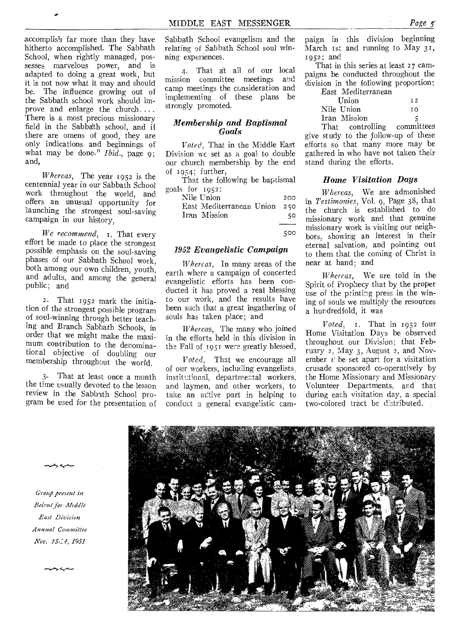accomplish far more than they have hitherto accomplished,. The Sabbath School, when rightly managed, possesses marvelous power, and is adapted to doing a great work, but it is not now what it may and should be. The influence growing out of the Sabbath school work should improve and enlarge the church.... There is a most precious missionary field in the Sabbath school, and if there are omens of good, they are only indications and beginnings of what may be done." *Ibid.*, page 9; and,

*Whereas,* The year 1952 is the centennial year in our Sabbath School work throughout the world, and offers an unusual opportunity for launching the strongest soul-saving campaign in our history,

*We recommend,* r. That every effort be made to place the strongest possible emphasis on the soul-saving phases of our Sabbath School work, both among our own children, youth, and adults, and among the general public; and

2. That 1952 mark the initiation of the strongest possible program of soul-winning through better teaching and Branch Sabbath Schools, in order that we might make the maximum contribution to the denominational objective of doubling our membership throughout the world.

3- That at least once a month the time usually devoted to the lesson review in the Sabbath School program be used for the presentation of Sabbath School evangelism and the relating of Sabbath School soul winning experiences.

4- That at all of our local mission committee meetings and camp meetings the consideration and implementing of these plans be strongly promoted.

#### *Membership and Baptismal Goals*

*Voted,* That in the Middle East Division we set as a goal to double our church membership by the end of 1954; further,

That the following be baptismal goals for 1952:

Nile Union 200 East Mediterranean Union 2s0 Iran Mission 50

500

#### *1952 Evangelistic Campaign*

*Whereas,* In many areas of the earth where a campaign of concerted evangelistic efforts has been conducted it has proved a real blessing to our work, and the results have been such that a great ingathering of souls has taken place; and

*Whereas,* The many who joined in the efforts held in this division in the Fall of 1951 were greatly blessed,

*Voted,* That we encourage all of our workers, including evangelists, institutional, departmental workers, and laymen, and other workers, to take an active part in helping to conduct a general evangelistic campaign in this division beginning March 1st and running to May 31, 1952; and

That in this series at least 27 campaigns be conducted throughout the division in the following proportion:

| East Mediterranean                         |                 |
|--------------------------------------------|-----------------|
| Union                                      | $\overline{1}2$ |
| Nile Union                                 | ТΩ              |
| Iran Mission                               |                 |
| and the United States of the United States | $$ mana $3+4$   |

That controlling committees give study to the follow-up of these efforts so that many more may be gathered in who have not taken their stand during the efforts.

#### *Home Visitation Days*

*Whereas,* We are admonished in *Testimonies,* Vol. 9, Page 38, that the church is established to do missionary work and that genuine missionary work is visiting our neighbors, showing an interest in their eternal salvation, and pointing out to them, that the coming of Christ is near at hand; and

*Whereas,* We are told in the Spirit of Prophecy that by the proper use of the printing press in the wining of souls we multiply the resources a hundredfold, it was

*Voted, 1.* That in 1952 four Home Visitation Days be observed throughout our Division; that February 2, May 3, August 2, and November  $I'$  be set apart for a visitation crusade sponsored co-operatively by the Home Missionary and Missionary Volunteer Departments, and that during each visitation day, a special two-colored tract be distributed.





Group present in *Beirut for Middle East Division Annual Committee Nov. 15-.:4, 1951*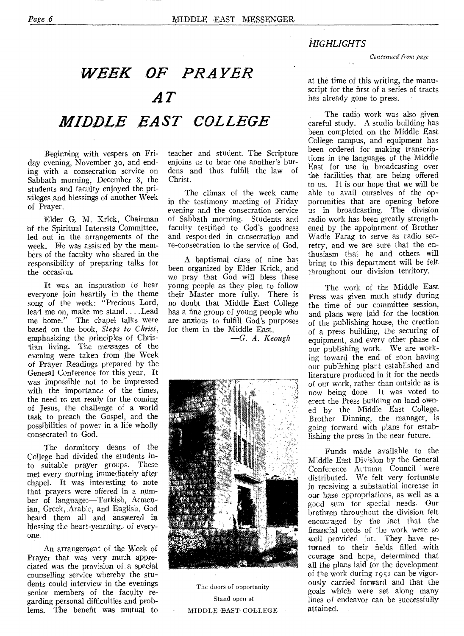#### *HIGHLIGHTS*

*Continued from sage* 

### *WEEK OF PRAYER AT MIDDLE EAST COLLEGE*

Beginning with vespers on Friday evening, November 3o, and ending with a consecration service on Sabbath morning, December 8, the students and faculty enjoyed the priyileges and blessings of another Week of Prayer.

Elder G.. M. Krick, Chairman of the Spiritual Interests Committee, led out in the arrangements of the week. He was assisted by the members of the faculty who shared in the responsibility of preparing talks for the occasion,.

It was an inspiration to hear everyone join heartily in the theme song of the week: "Precious Lord, lead me on, make me stand....Lead me home." The chapel talks were based on the book, *Steps to Christ,*  emphasizing the principles of Christian living. The messages of the evening were taken from the Week of Prayer Readings prepared by the General Conference for this year. It was impossible not to be impressed with the importance of the times, the need to get ready for the coming of Jesus, the challenge of a world task to preach the Gospel, and the possibilities of power in a life wholly consecrated to God.

The dormitory deans of the College had divided the students into suitable prayer groups. These met every morning immediately after chapel. It was interesting to note that prayers were offered in a number of languages—Turkish, Armenian, Greek, Arabic, and English. God heard them all and answered in blessing the heart-yearning3 of everyone.

An arrangement of the Week of Prayer that was very much appreciated was the provision of a special counselling service whereby the students could interview in the evenings senior members of the faculty regarding personal difficulties and problems, The benefit was mutual to teacher and student. The Scripture enjoins us to bear one another's burdens and thus fulfill the law Christ.

The climax of the week came in the testimony meeting of Friday evening and the consecration service of Sabbath morning. Students and faculty testified to God's goodness and responded in consecration and re-consecration to the service of God.

A baptismal class of nine has been organized by Elder Krick, and we pray that God will bless these young people as they plan to follow their Master more fully. There is no doubt that Middle East College has a fine group of young people who are anxious to fulfill God's purposes for them in the Middle East.

*—G. A. Keough* 



The doors of opportunity Stand open at MIDDLE 'EAST-COLLEGE

at the time of this writing, the manuscript for the first of a series of tracts has already gone to press.

The radio work was also given careful study. A studio building has been completed on the Middle East College campus, and equipment has been ordered for making transcriptions in the languages of the Middle East for use in broadcasting over the facilities that are being offered to us. It is our hope that we will be able to avail ourselves of the opportunities that are opening before us in broadcasting. The division radio work has been greatly strengthened by the appointment of Brother Wadie Farag to serve as radio secretry, and we are sure that the enthusiasm that he and others will bring to this department will be felt throughout our division territory.

The work of the Middle East Press was given much study during the time of our committee session, and plans were laid for the location of the publishing house, the erection of a press building, the securing of equipment, and every other phase of our publishing work. We are working toward the end of soon having our publishing plant established and literature produced in it for the needs of our work, rather than outside as is now being done. It was voted to erect the Press building on land owned by the Middle East College. Brother Dinning, the manager, is going forward with plans for establishing the press in the near future.

Funds made available to the Middle East Division by the General Confe:ence Attumn Council were distributed. We felt very fortunate in receiving a substantial increase in OUT base appropriations, as well as a good sum for special needs. Our brethren throughout the division felt encouraged by the fact that the financial needs of the work were so well provided for. They have returned to their fields filled with courage and hope, determined that all the plans laid for the development of the work during 1952 can be vigorously carried forward and that the goals which were set along many lines of endeavor can be successfully attained,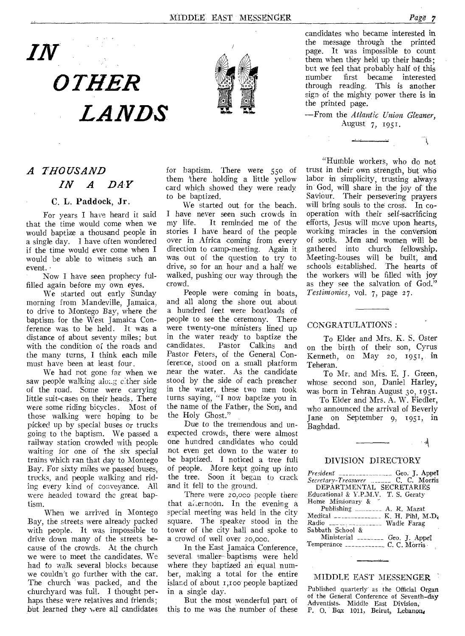Ĩ.



# *OTHER LANDS*



candidates who became interested in the message through the printed page. It was impossible to count them when they held up their hands; but we feel that probably half of this<br>number first became interested first became interested through reading. This is another sign of the mighty power there is in the printed page.

—From the *Atlantic Union Gleaner,*  August 7, 1951.

#### *A THOUSAND IN A DAY*

#### C. L. Paddock, Jr.

For years I have heard it said that the time would come when we would baptize a thousand people in a single day. I have often wondered if the time would ever come when I would be able to witness such an event. ·

Now I have seen prophecy fulfilled again before my own eyes.

We started out early Sunday morning from Mandeville, Jamaica, to drive to Montego Bay, where the baptism. for the West Jamaica Conference was to be held. It was a distance of about seventy miles; but with the condition of the roads and the many turns, I think each mile must have been at least four.

We had not gone far when we saw people walking along either side of the road. Some were carrying little suit-cases on their heads. There were some riding bicycles. Most of those walking were hoping to be picked up by special buses or trucks going to the baptism. We passed a railway station crowded with people waiting for one of the six special trains which ran that day to Montego Bay. For sixty miles we passed buses, trucks, and people walking and riding every kind of conveyance. All were headed toward the great baptism.

When we arrived in Montego Bay, the streets were already packed with people. It was impossible to drive down many of the streets because of the crowds. At the church we were to meet the candidates. We had to walk several blocks because we couldn't go further with the car. The church "was packed, and the churchyard was full. I thought perhaps these were relatives and friends; but learned they were all candidates for baptism. There were 55o of them 'there holding a little yellow card which showed they were ready to be baptized.

We started out for the beach. I have never seen such crowds in<br>my life. It reminded me of the It reminded me of the stories I have heard of the people over in Africa coming from every direction to camp-meeting. Again it was out of the question to try to drive, so for an hour and a half we walked, pushing our way through the crowd.

People were coming in boats, and all along the shore out about a hundred feet were boatloads of people to see the ceremony. There were twenty-one ministers lined up in the water ready to baptize the<br>candidates. Pastor Calkins and Pastor Calkins and Pastor Peters, of the General Conference, stood on a small platform near the water. As the candidate stood by the side of each preacher in the water, these two men took turns saying, "I now baptize you in the name of the Father, the Son, and the Holy Ghost."

Due to the tremendous and unexpected crowds, there were almost one hundred candidates who could not even get down to the water to be baptized. I noticed a tree full of people. More kept going up into the tree. Soon it began to crack and it fell to the ground.

There were 20,00o people there that alternoon. In the evening a special meeting was held in the city square. The speaker stood in the tower of the city hall and spoke to a crowd of well over 20,000.

In the East Jamaica Conference, several smaller- baptisms were held where they baptized an equal number, making a total for the entire island of about 1,100 people baptized in a single day.

But the most wonderful part of this to me was the number of these

"Humble workers, who do not trust in their own strength, but who labor in simplicity, trusting always in' God, will share in the joy of the Saviour. Their persevering prayers will bring souls to the cross. In cooperation with their self-8acrificing efforts, Jesus will move upon hearts, working miracles in the conversion of *souls.* Men and women will be gathered into church fellowship. Meeting-houses will be built; and schools established. The hearts of the workers will be filled with joy as they see the salvation of  $God.^"$ *restinionies, vol.* 7, page 27.

#### CONGRATULATIONS :

To Elder and Mrs. K. S. Oster on the birth of their son, Cyrus Kenneth, on May 20, 1951, in Teheran.

To Mr. and Mrs. E. J. Green, whose second son, Daniel Harley, was born in Tehran August 3o, 1951.

To Elder and Mrs. A. W. Fiedler, who announced the arrival of Beverly Jane on September 9, 1951, in Baghdad.

#### $\mathbb{R}^2$

#### DIVISION DIRECTORY

| $President$ $---$ Geo. J. Appel        |
|----------------------------------------|
|                                        |
| DEPARTMENTAL SECRETARIES               |
| Educational & Y.P.M.V. T. S. Geraty    |
| Home Missionary &                      |
| Publishing  A. R. Mazat                |
| Medical $------K$ , H. Pihl, M.D.      |
| Radio ___  ___________ Wadie Farag     |
| Sabbath School &                       |
| Ministerial ________ Geo. J. Appel     |
| Temperance ______________ C. C. Morris |

#### MIDDLE EAST MESSENGER

Published quarterly as the Official Organ of the General Conference of Seventh-day Adventists. Middle East Division, P. O. Box 1011, Beirut, Lebanon.